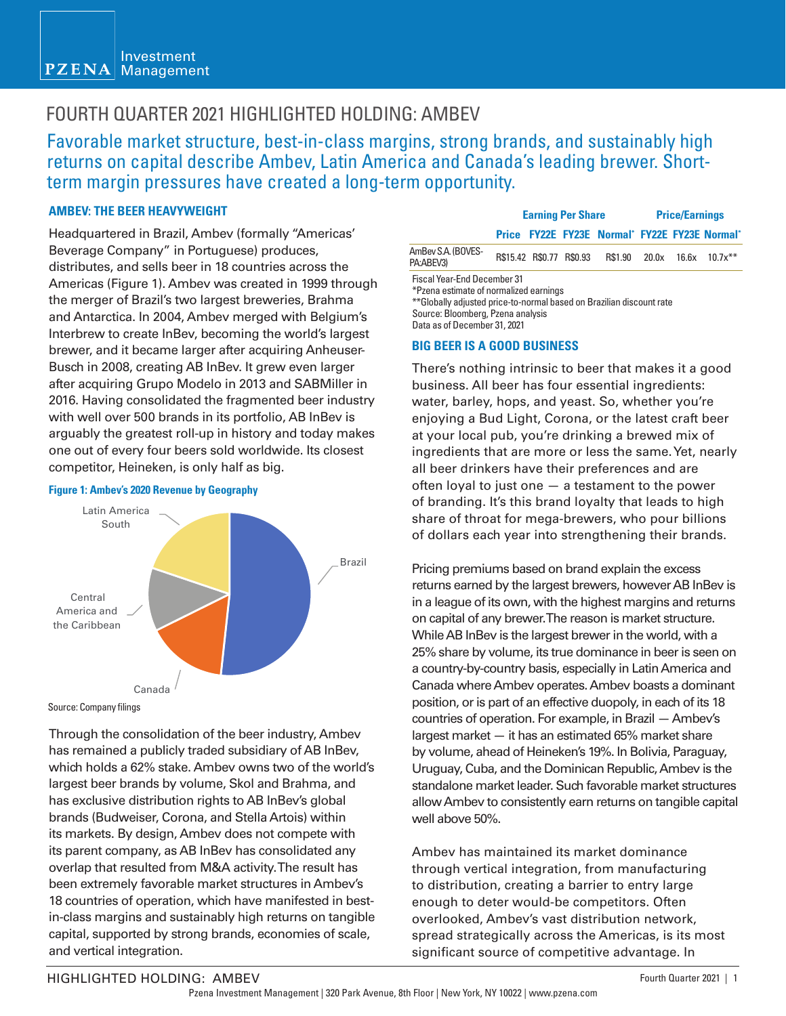#### Investment  $PZENA$ Management

### FOURTH QUARTER 2021 HIGHLIGHTED HOLDING: AMBEV

Favorable market structure, best-in-class margins, strong brands, and sustainably high returns on capital describe Ambev, Latin America and Canada's leading brewer. Shortterm margin pressures have created a long-term opportunity.

#### **AMBEV: THE BEER HEAVYWEIGHT**

Headquartered in Brazil, Ambev (formally "Americas' Beverage Company" in Portuguese) produces, distributes, and sells beer in 18 countries across the Americas (Figure 1). Ambev was created in 1999 through the merger of Brazil's two largest breweries, Brahma and Antarctica. In 2004, Ambev merged with Belgium's Interbrew to create InBev, becoming the world's largest brewer, and it became larger after acquiring Anheuser-Busch in 2008, creating AB InBev. It grew even larger after acquiring Grupo Modelo in 2013 and SABMiller in 2016. Having consolidated the fragmented beer industry with well over 500 brands in its portfolio, AB InBev is arguably the greatest roll-up in history and today makes one out of every four beers sold worldwide. Its closest competitor, Heineken, is only half as big.

# Brazil Canada Central America and the Caribbean Latin America South

#### **Figure 1: Ambev's 2020 Revenue by Geography**

Through the consolidation of the beer industry, Ambev has remained a publicly traded subsidiary of AB InBev, which holds a 62% stake. Ambev owns two of the world's largest beer brands by volume, Skol and Brahma, and has exclusive distribution rights to AB InBev's global brands (Budweiser, Corona, and Stella Artois) within its markets. By design, Ambev does not compete with its parent company, as AB InBev has consolidated any overlap that resulted from M&A activity. The result has been extremely favorable market structures in Ambev's 18 countries of operation, which have manifested in bestin-class margins and sustainably high returns on tangible capital, supported by strong brands, economies of scale, and vertical integration.

|                                                                              | <b>Earning Per Share</b> |  |                          |                                               | <b>Price/Earnings</b> |       |            |
|------------------------------------------------------------------------------|--------------------------|--|--------------------------|-----------------------------------------------|-----------------------|-------|------------|
|                                                                              |                          |  |                          | Price FY22E FY23E Normal* FY22E FY23E Normal* |                       |       |            |
| AmBev S.A. (BOVES-<br>PA:ABEV3)                                              |                          |  | R\$15.42 R\$0.77 R\$0.93 | R\$1.90 20.0x                                 |                       | 16.6x | $10.7x***$ |
| <b>Fiscal Year-End December 31</b><br>*Pzena estimate of normalized earnings |                          |  |                          |                                               |                       |       |            |

\*\*Globally adjusted price-to-normal based on Brazilian discount rate Source: Bloomberg, Pzena analysis Data as of December 31, 2021

#### **BIG BEER IS A GOOD BUSINESS**

There's nothing intrinsic to beer that makes it a good business. All beer has four essential ingredients: water, barley, hops, and yeast. So, whether you're enjoying a Bud Light, Corona, or the latest craft beer at your local pub, you're drinking a brewed mix of ingredients that are more or less the same. Yet, nearly all beer drinkers have their preferences and are often loyal to just one — a testament to the power of branding. It's this brand loyalty that leads to high share of throat for mega-brewers, who pour billions of dollars each year into strengthening their brands.

Pricing premiums based on brand explain the excess returns earned by the largest brewers, however AB InBev is in a league of its own, with the highest margins and returns on capital of any brewer. The reason is market structure. While AB InBev is the largest brewer in the world, with a 25% share by volume, its true dominance in beer is seen on a country-by-country basis, especially in Latin America and Canada where Ambev operates. Ambev boasts a dominant position, or is part of an effective duopoly, in each of its 18 countries of operation. For example, in Brazil — Ambev's largest market — it has an estimated 65% market share by volume, ahead of Heineken's 19%. In Bolivia, Paraguay, Uruguay, Cuba, and the Dominican Republic, Ambev is the standalone market leader. Such favorable market structures allow Ambev to consistently earn returns on tangible capital well above 50%.

Ambev has maintained its market dominance through vertical integration, from manufacturing to distribution, creating a barrier to entry large enough to deter would-be competitors. Often overlooked, Ambev's vast distribution network, spread strategically across the Americas, is its most significant source of competitive advantage. In

#### HIGHLIGHTED HOLDING: AMBEV

Source: Company filings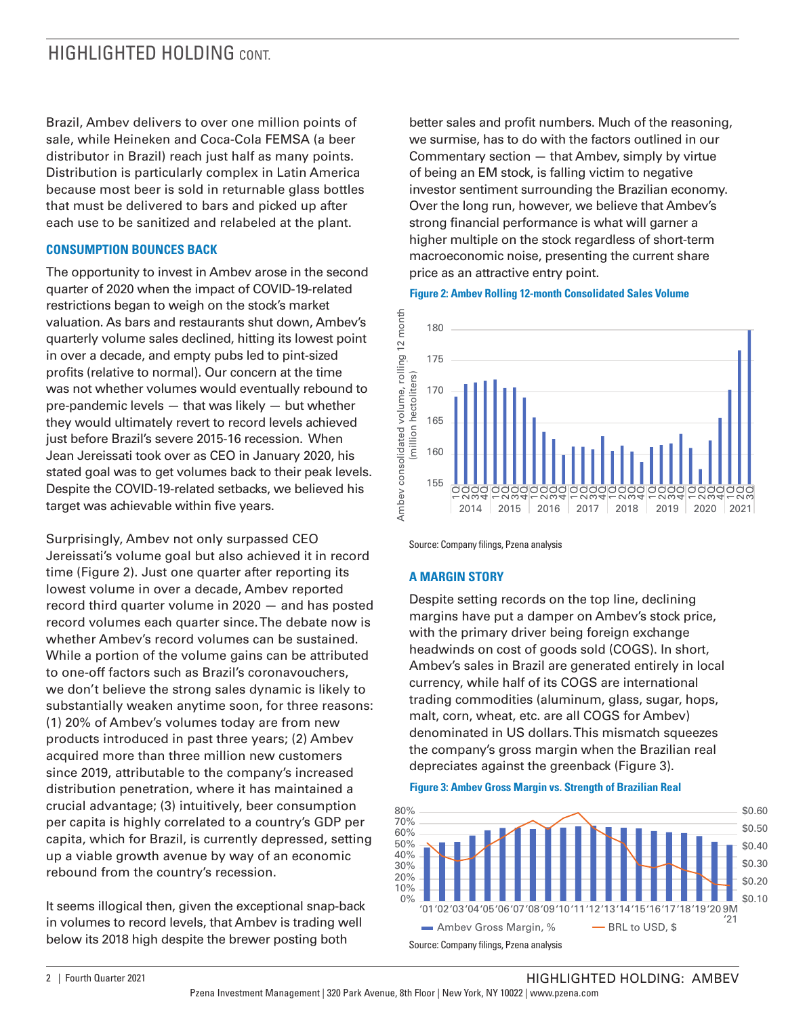### HIGHLIGHTED HOLDING CONT

Brazil, Ambev delivers to over one million points of sale, while Heineken and Coca-Cola FEMSA (a beer distributor in Brazil) reach just half as many points. Distribution is particularly complex in Latin America because most beer is sold in returnable glass bottles that must be delivered to bars and picked up after each use to be sanitized and relabeled at the plant.

#### **CONSUMPTION BOUNCES BACK**

The opportunity to invest in Ambev arose in the second quarter of 2020 when the impact of COVID-19-related restrictions began to weigh on the stock's market valuation. As bars and restaurants shut down, Ambev's quarterly volume sales declined, hitting its lowest point in over a decade, and empty pubs led to pint-sized profits (relative to normal). Our concern at the time was not whether volumes would eventually rebound to pre-pandemic levels — that was likely — but whether they would ultimately revert to record levels achieved just before Brazil's severe 2015-16 recession. When Jean Jereissati took over as CEO in January 2020, his stated goal was to get volumes back to their peak levels. Despite the COVID-19-related setbacks, we believed his target was achievable within five years.

Surprisingly, Ambev not only surpassed CEO Jereissati's volume goal but also achieved it in record time (Figure 2). Just one quarter after reporting its lowest volume in over a decade, Ambev reported record third quarter volume in 2020 — and has posted record volumes each quarter since. The debate now is whether Ambev's record volumes can be sustained. While a portion of the volume gains can be attributed to one-off factors such as Brazil's coronavouchers, we don't believe the strong sales dynamic is likely to substantially weaken anytime soon, for three reasons: (1) 20% of Ambev's volumes today are from new products introduced in past three years; (2) Ambev acquired more than three million new customers since 2019, attributable to the company's increased distribution penetration, where it has maintained a crucial advantage; (3) intuitively, beer consumption per capita is highly correlated to a country's GDP per capita, which for Brazil, is currently depressed, setting up a viable growth avenue by way of an economic rebound from the country's recession.

It seems illogical then, given the exceptional snap-back in volumes to record levels, that Ambev is trading well below its 2018 high despite the brewer posting both

better sales and profit numbers. Much of the reasoning, we surmise, has to do with the factors outlined in our Commentary section — that Ambev, simply by virtue of being an EM stock, is falling victim to negative investor sentiment surrounding the Brazilian economy. Over the long run, however, we believe that Ambev's strong financial performance is what will garner a higher multiple on the stock regardless of short-term macroeconomic noise, presenting the current share price as an attractive entry point.

#### **Figure 2: Ambev Rolling 12-month Consolidated Sales Volume**



Source: Company filings, Pzena analysis

#### **A MARGIN STORY**

Despite setting records on the top line, declining margins have put a damper on Ambev's stock price, with the primary driver being foreign exchange headwinds on cost of goods sold (COGS). In short, Ambev's sales in Brazil are generated entirely in local currency, while half of its COGS are international trading commodities (aluminum, glass, sugar, hops, malt, corn, wheat, etc. are all COGS for Ambev) denominated in US dollars. This mismatch squeezes the company's gross margin when the Brazilian real depreciates against the greenback (Figure 3).

**Figure 3: Ambev Gross Margin vs. Strength of Brazilian Real**



2 | Fourth Quarter 2021 | Note 2021 | 2 | Fourth Quarter 2021 | NOLDING: AMBEV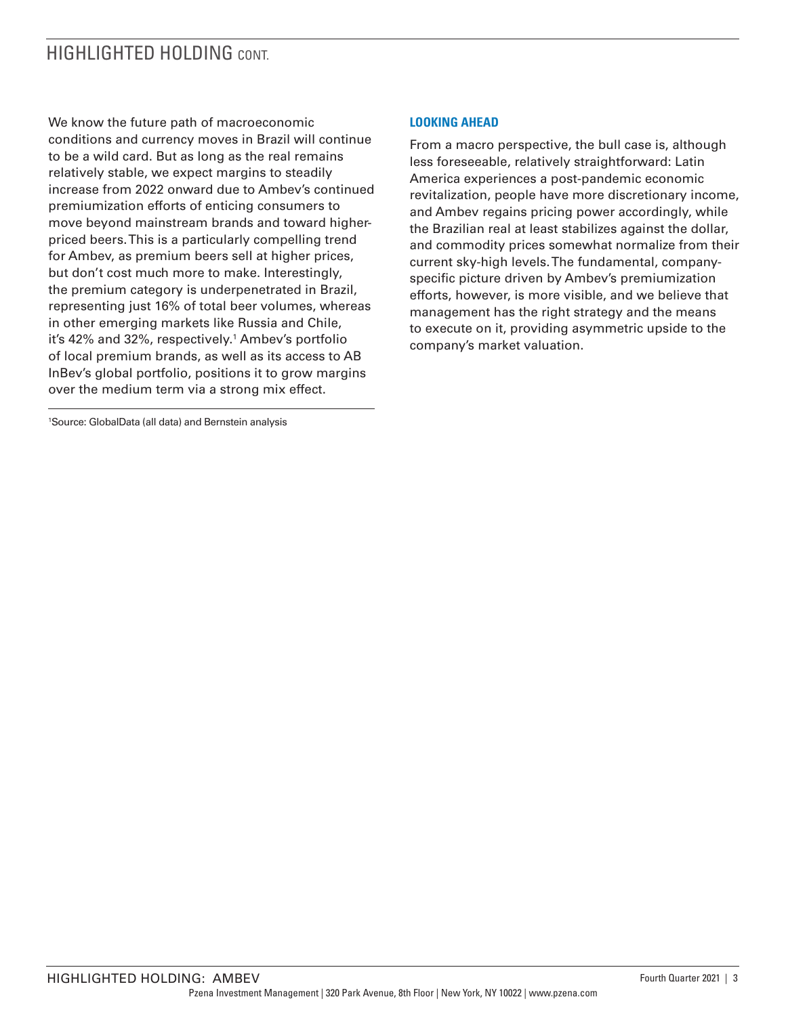### HIGHLIGHTED HOLDING CONT

We know the future path of macroeconomic conditions and currency moves in Brazil will continue to be a wild card. But as long as the real remains relatively stable, we expect margins to steadily increase from 2022 onward due to Ambev's continued premiumization efforts of enticing consumers to move beyond mainstream brands and toward higherpriced beers. This is a particularly compelling trend for Ambev, as premium beers sell at higher prices, but don't cost much more to make. Interestingly, the premium category is underpenetrated in Brazil, representing just 16% of total beer volumes, whereas in other emerging markets like Russia and Chile, it's 42% and 32%, respectively.1 Ambev's portfolio of local premium brands, as well as its access to AB InBev's global portfolio, positions it to grow margins over the medium term via a strong mix effect.

1 Source: GlobalData (all data) and Bernstein analysis

#### **LOOKING AHEAD**

From a macro perspective, the bull case is, although less foreseeable, relatively straightforward: Latin America experiences a post-pandemic economic revitalization, people have more discretionary income, and Ambev regains pricing power accordingly, while the Brazilian real at least stabilizes against the dollar, and commodity prices somewhat normalize from their current sky-high levels. The fundamental, companyspecific picture driven by Ambev's premiumization efforts, however, is more visible, and we believe that management has the right strategy and the means to execute on it, providing asymmetric upside to the company's market valuation.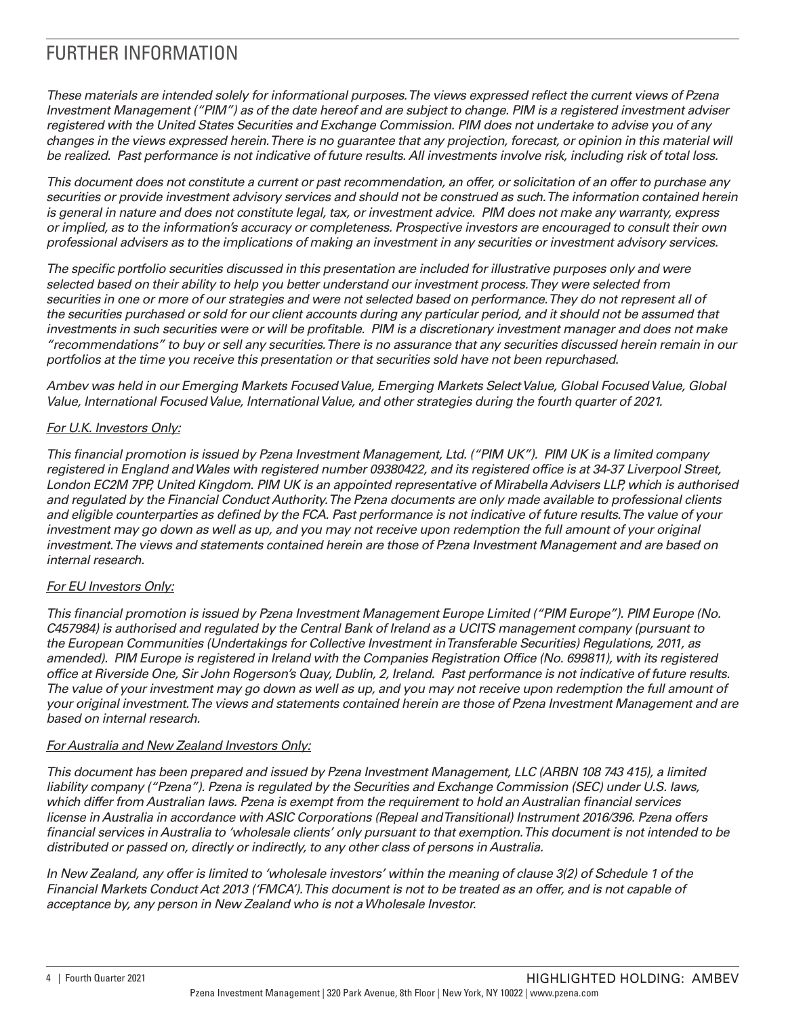## FURTHER INFORMATION

*These materials are intended solely for informational purposes. The views expressed reflect the current views of Pzena Investment Management ("PIM") as of the date hereof and are subject to change. PIM is a registered investment adviser registered with the United States Securities and Exchange Commission. PIM does not undertake to advise you of any changes in the views expressed herein. There is no guarantee that any projection, forecast, or opinion in this material will be realized. Past performance is not indicative of future results. All investments involve risk, including risk of total loss.*

*This document does not constitute a current or past recommendation, an offer, or solicitation of an offer to purchase any securities or provide investment advisory services and should not be construed as such. The information contained herein is general in nature and does not constitute legal, tax, or investment advice. PIM does not make any warranty, express or implied, as to the information's accuracy or completeness. Prospective investors are encouraged to consult their own professional advisers as to the implications of making an investment in any securities or investment advisory services.*

*The specific portfolio securities discussed in this presentation are included for illustrative purposes only and were selected based on their ability to help you better understand our investment process. They were selected from securities in one or more of our strategies and were not selected based on performance. They do not represent all of the securities purchased or sold for our client accounts during any particular period, and it should not be assumed that investments in such securities were or will be profitable. PIM is a discretionary investment manager and does not make "recommendations" to buy or sell any securities. There is no assurance that any securities discussed herein remain in our portfolios at the time you receive this presentation or that securities sold have not been repurchased.*

*Ambev was held in our Emerging Markets Focused Value, Emerging Markets Select Value, Global Focused Value, Global Value, International Focused Value, International Value, and other strategies during the fourth quarter of 2021.*

#### *For U.K. Investors Only:*

*This financial promotion is issued by Pzena Investment Management, Ltd. ("PIM UK"). PIM UK is a limited company registered in England and Wales with registered number 09380422, and its registered office is at 34-37 Liverpool Street, London EC2M 7PP, United Kingdom. PIM UK is an appointed representative of Mirabella Advisers LLP, which is authorised and regulated by the Financial Conduct Authority. The Pzena documents are only made available to professional clients and eligible counterparties as defined by the FCA. Past performance is not indicative of future results. The value of your*  investment may go down as well as up, and you may not receive upon redemption the full amount of your original *investment. The views and statements contained herein are those of Pzena Investment Management and are based on internal research.* 

### *For EU Investors Only:*

*This financial promotion is issued by Pzena Investment Management Europe Limited ("PIM Europe"). PIM Europe (No. C457984) is authorised and regulated by the Central Bank of Ireland as a UCITS management company (pursuant to the European Communities (Undertakings for Collective Investment in Transferable Securities) Regulations, 2011, as amended). PIM Europe is registered in Ireland with the Companies Registration Office (No. 699811), with its registered office at Riverside One, Sir John Rogerson's Quay, Dublin, 2, Ireland. Past performance is not indicative of future results.*  The value of your investment may go down as well as up, and you may not receive upon redemption the full amount of *your original investment. The views and statements contained herein are those of Pzena Investment Management and are based on internal research.*

#### *For Australia and New Zealand Investors Only:*

*This document has been prepared and issued by Pzena Investment Management, LLC (ARBN 108 743 415), a limited liability company ("Pzena"). Pzena is regulated by the Securities and Exchange Commission (SEC) under U.S. laws, which differ from Australian laws. Pzena is exempt from the requirement to hold an Australian financial services license in Australia in accordance with ASIC Corporations (Repeal and Transitional) Instrument 2016/396. Pzena offers financial services in Australia to 'wholesale clients' only pursuant to that exemption. This document is not intended to be distributed or passed on, directly or indirectly, to any other class of persons in Australia.*

*In New Zealand, any offer is limited to 'wholesale investors' within the meaning of clause 3(2) of Schedule 1 of the Financial Markets Conduct Act 2013 ('FMCA'). This document is not to be treated as an offer, and is not capable of acceptance by, any person in New Zealand who is not a Wholesale Investor.*